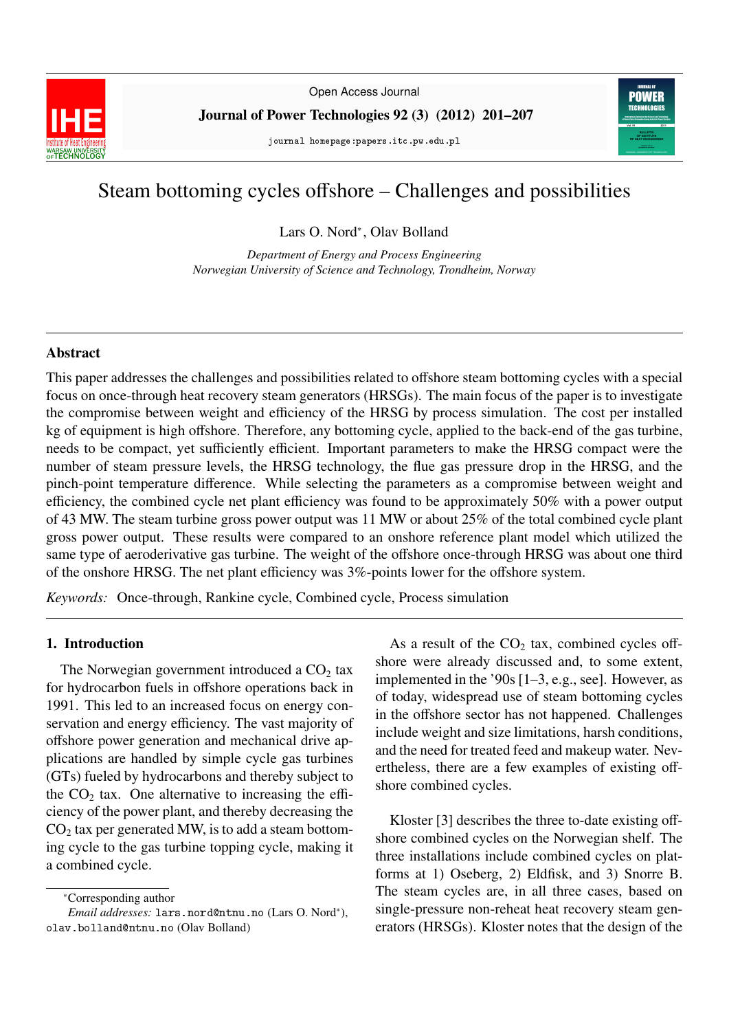

Open Access Journal

Journal of Power Technologies 92 (3) (2012) 201–207

journal homepage:papers.itc.pw.edu.pl



# Steam bottoming cycles offshore – Challenges and possibilities

Lars O. Nord<sup>∗</sup> , Olav Bolland

*Department of Energy and Process Engineering Norwegian University of Science and Technology, Trondheim, Norway*

#### Abstract

This paper addresses the challenges and possibilities related to offshore steam bottoming cycles with a special focus on once-through heat recovery steam generators (HRSGs). The main focus of the paper is to investigate the compromise between weight and efficiency of the HRSG by process simulation. The cost per installed kg of equipment is high offshore. Therefore, any bottoming cycle, applied to the back-end of the gas turbine, needs to be compact, yet sufficiently efficient. Important parameters to make the HRSG compact were the number of steam pressure levels, the HRSG technology, the flue gas pressure drop in the HRSG, and the pinch-point temperature difference. While selecting the parameters as a compromise between weight and efficiency, the combined cycle net plant efficiency was found to be approximately 50% with a power output of 43 MW. The steam turbine gross power output was 11 MW or about 25% of the total combined cycle plant gross power output. These results were compared to an onshore reference plant model which utilized the same type of aeroderivative gas turbine. The weight of the offshore once-through HRSG was about one third of the onshore HRSG. The net plant efficiency was 3%-points lower for the offshore system.

*Keywords:* Once-through, Rankine cycle, Combined cycle, Process simulation

#### 1. Introduction

The Norwegian government introduced a  $CO<sub>2</sub>$  tax for hydrocarbon fuels in offshore operations back in 1991. This led to an increased focus on energy conservation and energy efficiency. The vast majority of offshore power generation and mechanical drive applications are handled by simple cycle gas turbines (GTs) fueled by hydrocarbons and thereby subject to the  $CO<sub>2</sub>$  tax. One alternative to increasing the efficiency of the power plant, and thereby decreasing the  $CO<sub>2</sub>$  tax per generated MW, is to add a steam bottoming cycle to the gas turbine topping cycle, making it a combined cycle.

As a result of the  $CO<sub>2</sub>$  tax, combined cycles offshore were already discussed and, to some extent, implemented in the '90s [1–3, e.g., see]. However, as of today, widespread use of steam bottoming cycles in the offshore sector has not happened. Challenges include weight and size limitations, harsh conditions, and the need for treated feed and makeup water. Nevertheless, there are a few examples of existing offshore combined cycles.

Kloster [3] describes the three to-date existing offshore combined cycles on the Norwegian shelf. The three installations include combined cycles on platforms at 1) Oseberg, 2) Eldfisk, and 3) Snorre B. The steam cycles are, in all three cases, based on single-pressure non-reheat heat recovery steam generators (HRSGs). Kloster notes that the design of the

<sup>∗</sup>Corresponding author

*Email addresses:* lars.nord@ntnu.no (Lars O. Nord<sup>∗</sup> ), olav.bolland@ntnu.no (Olav Bolland)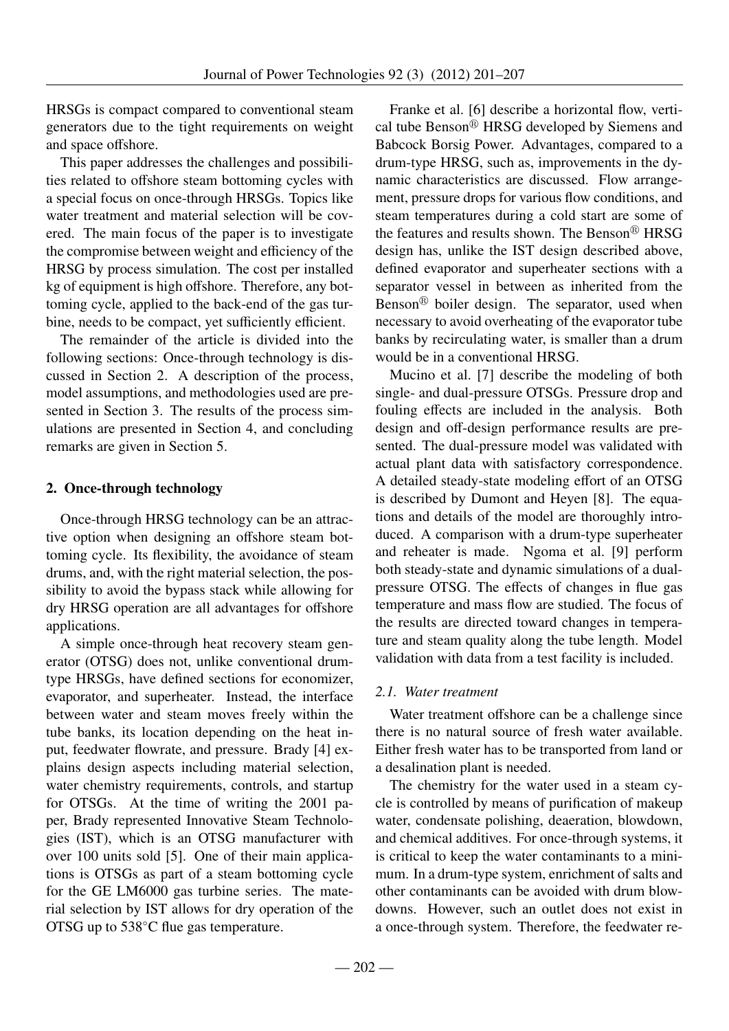HRSGs is compact compared to conventional steam generators due to the tight requirements on weight and space offshore.

This paper addresses the challenges and possibilities related to offshore steam bottoming cycles with a special focus on once-through HRSGs. Topics like water treatment and material selection will be covered. The main focus of the paper is to investigate the compromise between weight and efficiency of the HRSG by process simulation. The cost per installed kg of equipment is high offshore. Therefore, any bottoming cycle, applied to the back-end of the gas turbine, needs to be compact, yet sufficiently efficient.

The remainder of the article is divided into the following sections: Once-through technology is discussed in Section 2. A description of the process, model assumptions, and methodologies used are presented in Section 3. The results of the process simulations are presented in Section 4, and concluding remarks are given in Section 5.

# 2. Once-through technology

Once-through HRSG technology can be an attractive option when designing an offshore steam bottoming cycle. Its flexibility, the avoidance of steam drums, and, with the right material selection, the possibility to avoid the bypass stack while allowing for dry HRSG operation are all advantages for offshore applications.

A simple once-through heat recovery steam generator (OTSG) does not, unlike conventional drumtype HRSGs, have defined sections for economizer, evaporator, and superheater. Instead, the interface between water and steam moves freely within the tube banks, its location depending on the heat input, feedwater flowrate, and pressure. Brady [4] explains design aspects including material selection, water chemistry requirements, controls, and startup for OTSGs. At the time of writing the 2001 paper, Brady represented Innovative Steam Technologies (IST), which is an OTSG manufacturer with over 100 units sold [5]. One of their main applications is OTSGs as part of a steam bottoming cycle for the GE LM6000 gas turbine series. The material selection by IST allows for dry operation of the OTSG up to 538◦C flue gas temperature.

Franke et al. [6] describe a horizontal flow, vertical tube Benson® HRSG developed by Siemens and Babcock Borsig Power. Advantages, compared to a drum-type HRSG, such as, improvements in the dynamic characteristics are discussed. Flow arrangement, pressure drops for various flow conditions, and steam temperatures during a cold start are some of the features and results shown. The Benson® HRSG design has, unlike the IST design described above, defined evaporator and superheater sections with a separator vessel in between as inherited from the Benson<sup>®</sup> boiler design. The separator, used when necessary to avoid overheating of the evaporator tube banks by recirculating water, is smaller than a drum would be in a conventional HRSG.

Mucino et al. [7] describe the modeling of both single- and dual-pressure OTSGs. Pressure drop and fouling effects are included in the analysis. Both design and off-design performance results are presented. The dual-pressure model was validated with actual plant data with satisfactory correspondence. A detailed steady-state modeling effort of an OTSG is described by Dumont and Heyen [8]. The equations and details of the model are thoroughly introduced. A comparison with a drum-type superheater and reheater is made. Ngoma et al. [9] perform both steady-state and dynamic simulations of a dualpressure OTSG. The effects of changes in flue gas temperature and mass flow are studied. The focus of the results are directed toward changes in temperature and steam quality along the tube length. Model validation with data from a test facility is included.

# *2.1. Water treatment*

Water treatment offshore can be a challenge since there is no natural source of fresh water available. Either fresh water has to be transported from land or a desalination plant is needed.

The chemistry for the water used in a steam cycle is controlled by means of purification of makeup water, condensate polishing, deaeration, blowdown, and chemical additives. For once-through systems, it is critical to keep the water contaminants to a minimum. In a drum-type system, enrichment of salts and other contaminants can be avoided with drum blowdowns. However, such an outlet does not exist in a once-through system. Therefore, the feedwater re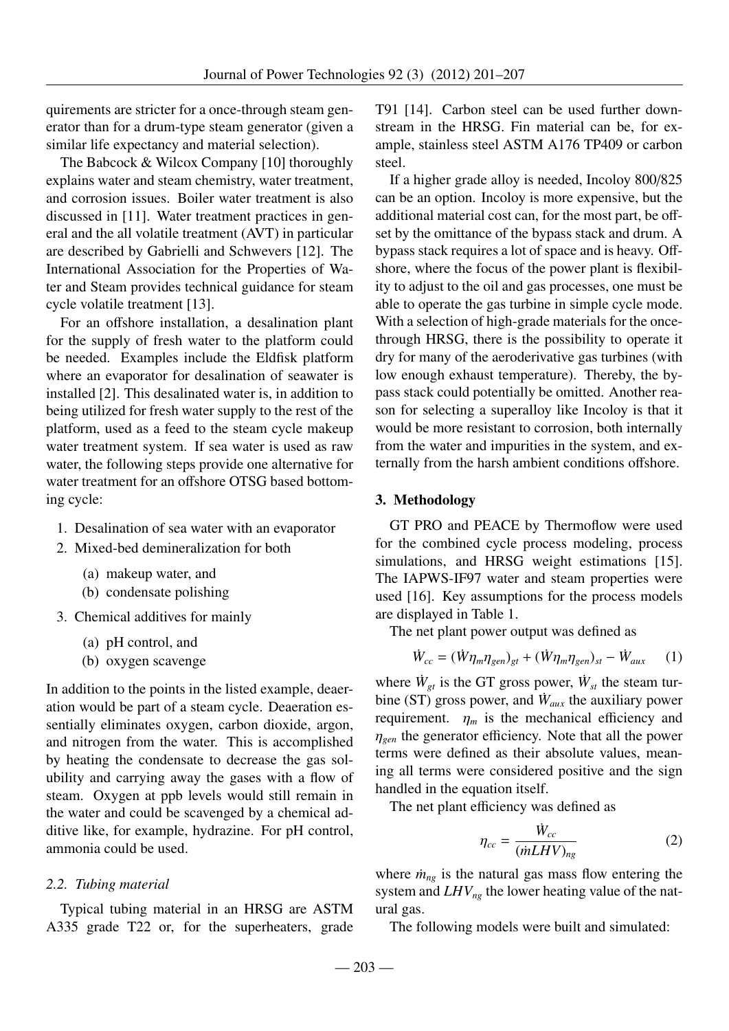quirements are stricter for a once-through steam generator than for a drum-type steam generator (given a similar life expectancy and material selection).

The Babcock & Wilcox Company [10] thoroughly explains water and steam chemistry, water treatment, and corrosion issues. Boiler water treatment is also discussed in [11]. Water treatment practices in general and the all volatile treatment (AVT) in particular are described by Gabrielli and Schwevers [12]. The International Association for the Properties of Water and Steam provides technical guidance for steam cycle volatile treatment [13].

For an offshore installation, a desalination plant for the supply of fresh water to the platform could be needed. Examples include the Eldfisk platform where an evaporator for desalination of seawater is installed [2]. This desalinated water is, in addition to being utilized for fresh water supply to the rest of the platform, used as a feed to the steam cycle makeup water treatment system. If sea water is used as raw water, the following steps provide one alternative for water treatment for an offshore OTSG based bottoming cycle:

- 1. Desalination of sea water with an evaporator
- 2. Mixed-bed demineralization for both
	- (a) makeup water, and
	- (b) condensate polishing
- 3. Chemical additives for mainly
	- (a) pH control, and
	- (b) oxygen scavenge

In addition to the points in the listed example, deaeration would be part of a steam cycle. Deaeration essentially eliminates oxygen, carbon dioxide, argon, and nitrogen from the water. This is accomplished by heating the condensate to decrease the gas solubility and carrying away the gases with a flow of steam. Oxygen at ppb levels would still remain in the water and could be scavenged by a chemical additive like, for example, hydrazine. For pH control, ammonia could be used.

#### *2.2. Tubing material*

Typical tubing material in an HRSG are ASTM A335 grade T22 or, for the superheaters, grade

T91 [14]. Carbon steel can be used further downstream in the HRSG. Fin material can be, for example, stainless steel ASTM A176 TP409 or carbon steel.

If a higher grade alloy is needed, Incoloy 800/825 can be an option. Incoloy is more expensive, but the additional material cost can, for the most part, be offset by the omittance of the bypass stack and drum. A bypass stack requires a lot of space and is heavy. Offshore, where the focus of the power plant is flexibility to adjust to the oil and gas processes, one must be able to operate the gas turbine in simple cycle mode. With a selection of high-grade materials for the oncethrough HRSG, there is the possibility to operate it dry for many of the aeroderivative gas turbines (with low enough exhaust temperature). Thereby, the bypass stack could potentially be omitted. Another reason for selecting a superalloy like Incoloy is that it would be more resistant to corrosion, both internally from the water and impurities in the system, and externally from the harsh ambient conditions offshore.

#### 3. Methodology

GT PRO and PEACE by Thermoflow were used for the combined cycle process modeling, process simulations, and HRSG weight estimations [15]. The IAPWS-IF97 water and steam properties were used [16]. Key assumptions for the process models are displayed in Table 1.

The net plant power output was defined as

$$
\dot{W}_{cc} = (\dot{W}\eta_m \eta_{gen})_{gt} + (\dot{W}\eta_m \eta_{gen})_{st} - \dot{W}_{aux} \qquad (1)
$$

where  $\dot{W}_{gt}$  is the GT gross power,  $\dot{W}_{st}$  the steam turbine (ST) gross power, and  $\dot{W}_{aux}$  the auxiliary power requirement.  $\eta_m$  is the mechanical efficiency and <sup>η</sup>*gen* the generator efficiency. Note that all the power terms were defined as their absolute values, meaning all terms were considered positive and the sign handled in the equation itself.

The net plant efficiency was defined as

$$
\eta_{cc} = \frac{\dot{W}_{cc}}{(mLHV)_{ng}}\tag{2}
$$

where  $\dot{m}_{ng}$  is the natural gas mass flow entering the system and *LHVng* the lower heating value of the natural gas.

The following models were built and simulated: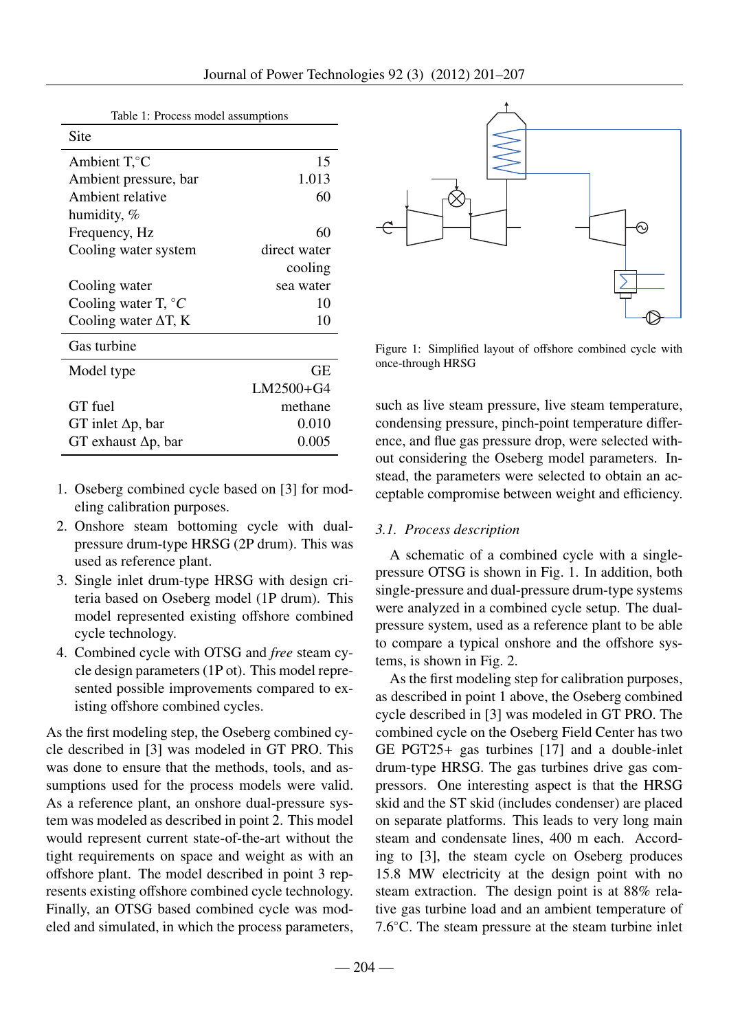| Table 1: Process model assumptions |  |
|------------------------------------|--|
|------------------------------------|--|

| Site                         |              |
|------------------------------|--------------|
| Ambient $T, ^{\circ}C$       | 15           |
| Ambient pressure, bar        | 1.013        |
| Ambient relative             | 60           |
| humidity, %                  |              |
| Frequency, Hz                | 60           |
| Cooling water system         | direct water |
|                              | cooling      |
| Cooling water                | sea water    |
| Cooling water T, $\degree C$ | 10           |
| Cooling water $\Delta T$ , K | 10           |
| Gas turbine                  |              |
| Model type                   | GЕ           |
|                              | $LM2500+G4$  |
| GT fuel                      | methane      |
| GT inlet $\Delta p$ , bar    | 0.010        |
| GT exhaust $\Delta p$ , bar  | 0.005        |

- 1. Oseberg combined cycle based on [3] for modeling calibration purposes.
- 2. Onshore steam bottoming cycle with dualpressure drum-type HRSG (2P drum). This was used as reference plant.
- 3. Single inlet drum-type HRSG with design criteria based on Oseberg model (1P drum). This model represented existing offshore combined cycle technology.
- 4. Combined cycle with OTSG and *free* steam cycle design parameters (1P ot). This model represented possible improvements compared to existing offshore combined cycles.

As the first modeling step, the Oseberg combined cycle described in [3] was modeled in GT PRO. This was done to ensure that the methods, tools, and assumptions used for the process models were valid. As a reference plant, an onshore dual-pressure system was modeled as described in point 2. This model would represent current state-of-the-art without the tight requirements on space and weight as with an offshore plant. The model described in point 3 represents existing offshore combined cycle technology. Finally, an OTSG based combined cycle was modeled and simulated, in which the process parameters,



Figure 1: Simplified layout of offshore combined cycle with once-through HRSG

such as live steam pressure, live steam temperature, condensing pressure, pinch-point temperature difference, and flue gas pressure drop, were selected without considering the Oseberg model parameters. Instead, the parameters were selected to obtain an acceptable compromise between weight and efficiency.

## *3.1. Process description*

A schematic of a combined cycle with a singlepressure OTSG is shown in Fig. 1. In addition, both single-pressure and dual-pressure drum-type systems were analyzed in a combined cycle setup. The dualpressure system, used as a reference plant to be able to compare a typical onshore and the offshore systems, is shown in Fig. 2.

As the first modeling step for calibration purposes, as described in point 1 above, the Oseberg combined cycle described in [3] was modeled in GT PRO. The combined cycle on the Oseberg Field Center has two GE PGT25+ gas turbines [17] and a double-inlet drum-type HRSG. The gas turbines drive gas compressors. One interesting aspect is that the HRSG skid and the ST skid (includes condenser) are placed on separate platforms. This leads to very long main steam and condensate lines, 400 m each. According to [3], the steam cycle on Oseberg produces 15.8 MW electricity at the design point with no steam extraction. The design point is at 88% relative gas turbine load and an ambient temperature of 7.6◦C. The steam pressure at the steam turbine inlet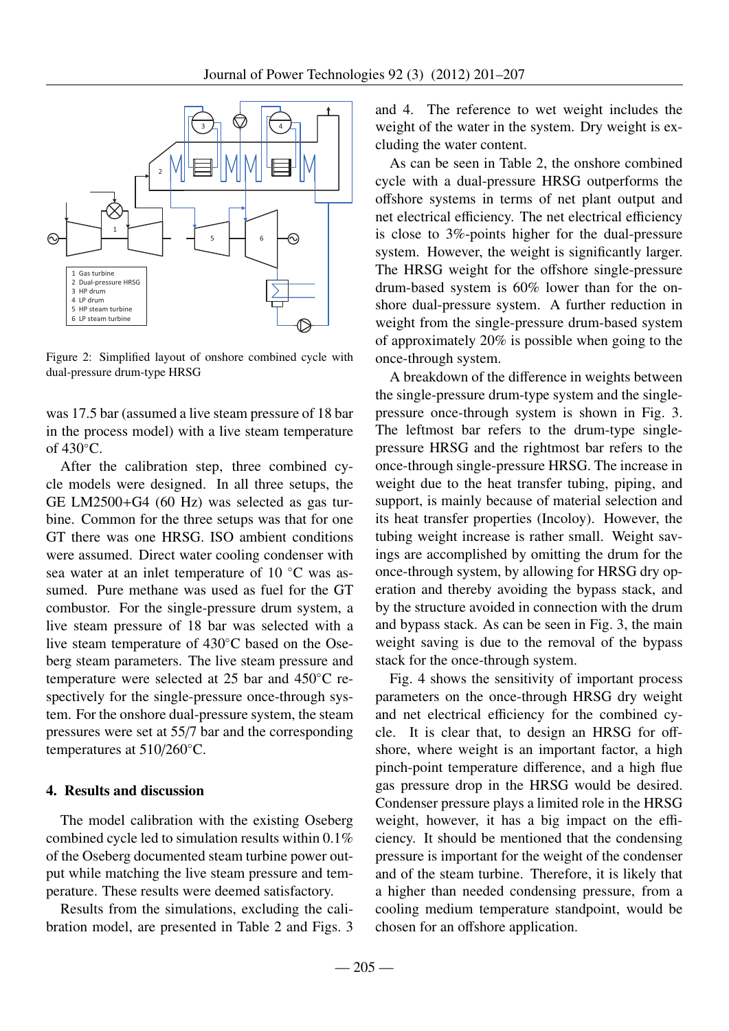

Figure 2: Simplified layout of onshore combined cycle with dual-pressure drum-type HRSG

was 17.5 bar (assumed a live steam pressure of 18 bar in the process model) with a live steam temperature of 430◦C.

After the calibration step, three combined cycle models were designed. In all three setups, the GE LM2500+G4 (60 Hz) was selected as gas turbine. Common for the three setups was that for one GT there was one HRSG. ISO ambient conditions were assumed. Direct water cooling condenser with sea water at an inlet temperature of 10 °C was assumed. Pure methane was used as fuel for the GT combustor. For the single-pressure drum system, a live steam pressure of 18 bar was selected with a live steam temperature of 430◦C based on the Oseberg steam parameters. The live steam pressure and temperature were selected at 25 bar and 450◦C respectively for the single-pressure once-through system. For the onshore dual-pressure system, the steam pressures were set at 55/7 bar and the corresponding temperatures at 510/260 °C.

#### 4. Results and discussion

The model calibration with the existing Oseberg combined cycle led to simulation results within 0.1% of the Oseberg documented steam turbine power output while matching the live steam pressure and temperature. These results were deemed satisfactory.

Results from the simulations, excluding the calibration model, are presented in Table 2 and Figs. 3

and 4. The reference to wet weight includes the weight of the water in the system. Dry weight is excluding the water content.

As can be seen in Table 2, the onshore combined cycle with a dual-pressure HRSG outperforms the offshore systems in terms of net plant output and net electrical efficiency. The net electrical efficiency is close to 3%-points higher for the dual-pressure system. However, the weight is significantly larger. The HRSG weight for the offshore single-pressure drum-based system is 60% lower than for the onshore dual-pressure system. A further reduction in weight from the single-pressure drum-based system of approximately 20% is possible when going to the once-through system.

A breakdown of the difference in weights between the single-pressure drum-type system and the singlepressure once-through system is shown in Fig. 3. The leftmost bar refers to the drum-type singlepressure HRSG and the rightmost bar refers to the once-through single-pressure HRSG. The increase in weight due to the heat transfer tubing, piping, and support, is mainly because of material selection and its heat transfer properties (Incoloy). However, the tubing weight increase is rather small. Weight savings are accomplished by omitting the drum for the once-through system, by allowing for HRSG dry operation and thereby avoiding the bypass stack, and by the structure avoided in connection with the drum and bypass stack. As can be seen in Fig. 3, the main weight saving is due to the removal of the bypass stack for the once-through system.

Fig. 4 shows the sensitivity of important process parameters on the once-through HRSG dry weight and net electrical efficiency for the combined cycle. It is clear that, to design an HRSG for offshore, where weight is an important factor, a high pinch-point temperature difference, and a high flue gas pressure drop in the HRSG would be desired. Condenser pressure plays a limited role in the HRSG weight, however, it has a big impact on the efficiency. It should be mentioned that the condensing pressure is important for the weight of the condenser and of the steam turbine. Therefore, it is likely that a higher than needed condensing pressure, from a cooling medium temperature standpoint, would be chosen for an offshore application.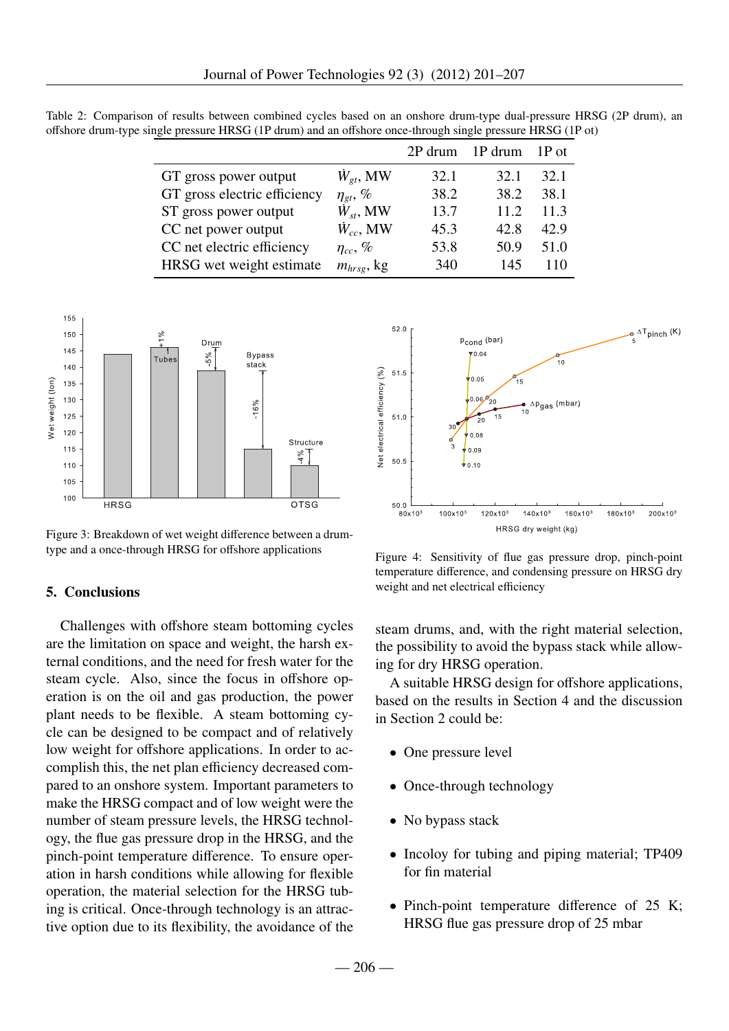|                              |                     |      | 2P drum 1P drum | 1P ot |
|------------------------------|---------------------|------|-----------------|-------|
| GT gross power output        | $\dot{W}_{gt}$ , MW | 32.1 | 32.1            | 32.1  |
| GT gross electric efficiency | $\eta_{gt}, \%$     | 38.2 | 38.2            | 38.1  |
| ST gross power output        | $\dot{W}_{st}$ , MW | 13.7 | 11.2            | 11.3  |
| CC net power output          | $\dot{W}_{cc}$ , MW | 45.3 | 42.8            | 42.9  |
| CC net electric efficiency   | $\eta_{cc}, \%$     | 53.8 | 50.9            | 51.0  |
| HRSG wet weight estimate     | $m_{hrsg}$ , kg     | 340  | 145             | 110   |

Table 2: Comparison of results between combined cycles based on an onshore drum-type dual-pressure HRSG (2P drum), an offshore drum-type single pressure HRSG (1P drum) and an offshore once-through single pressure HRSG (1P ot)



Figure 3: Breakdown of wet weight difference between a drumtype and a once-through HRSG for offshore applications

#### 5. Conclusions

Challenges with offshore steam bottoming cycles are the limitation on space and weight, the harsh external conditions, and the need for fresh water for the steam cycle. Also, since the focus in offshore operation is on the oil and gas production, the power plant needs to be flexible. A steam bottoming cycle can be designed to be compact and of relatively low weight for offshore applications. In order to accomplish this, the net plan efficiency decreased compared to an onshore system. Important parameters to make the HRSG compact and of low weight were the number of steam pressure levels, the HRSG technology, the flue gas pressure drop in the HRSG, and the pinch-point temperature difference. To ensure operation in harsh conditions while allowing for flexible operation, the material selection for the HRSG tubing is critical. Once-through technology is an attractive option due to its flexibility, the avoidance of the



Figure 4: Sensitivity of flue gas pressure drop, pinch-point temperature difference, and condensing pressure on HRSG dry weight and net electrical efficiency

steam drums, and, with the right material selection, the possibility to avoid the bypass stack while allowing for dry HRSG operation.

A suitable HRSG design for offshore applications, based on the results in Section 4 and the discussion in Section 2 could be:

- One pressure level
- Once-through technology
- No bypass stack
- Incoloy for tubing and piping material; TP409 for fin material
- Pinch-point temperature difference of 25 K; HRSG flue gas pressure drop of 25 mbar